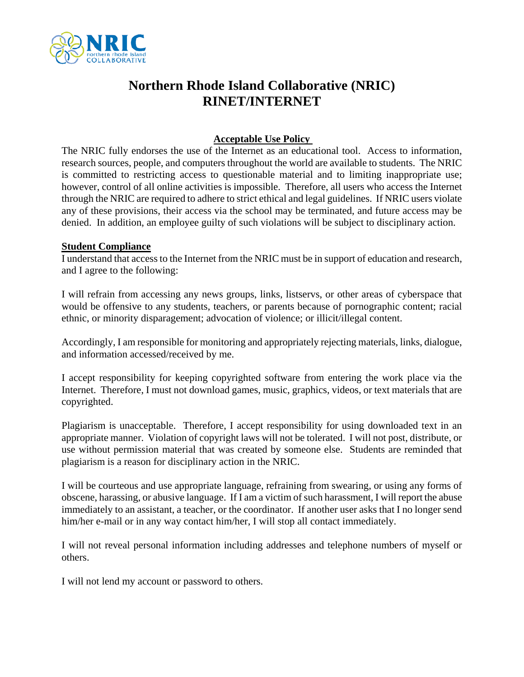

## **Northern Rhode Island Collaborative (NRIC) RINET/INTERNET**

## **Acceptable Use Policy**

The NRIC fully endorses the use of the Internet as an educational tool. Access to information, research sources, people, and computers throughout the world are available to students. The NRIC is committed to restricting access to questionable material and to limiting inappropriate use; however, control of all online activities is impossible. Therefore, all users who access the Internet through the NRIC are required to adhere to strict ethical and legal guidelines. If NRIC users violate any of these provisions, their access via the school may be terminated, and future access may be denied. In addition, an employee guilty of such violations will be subject to disciplinary action.

## **Student Compliance**

I understand that access to the Internet from the NRIC must be in support of education and research, and I agree to the following:

I will refrain from accessing any news groups, links, listservs, or other areas of cyberspace that would be offensive to any students, teachers, or parents because of pornographic content; racial ethnic, or minority disparagement; advocation of violence; or illicit/illegal content.

Accordingly, I am responsible for monitoring and appropriately rejecting materials, links, dialogue, and information accessed/received by me.

I accept responsibility for keeping copyrighted software from entering the work place via the Internet. Therefore, I must not download games, music, graphics, videos, or text materials that are copyrighted.

Plagiarism is unacceptable. Therefore, I accept responsibility for using downloaded text in an appropriate manner. Violation of copyright laws will not be tolerated. I will not post, distribute, or use without permission material that was created by someone else. Students are reminded that plagiarism is a reason for disciplinary action in the NRIC.

I will be courteous and use appropriate language, refraining from swearing, or using any forms of obscene, harassing, or abusive language. If I am a victim of such harassment, I will report the abuse immediately to an assistant, a teacher, or the coordinator. If another user asks that I no longer send him/her e-mail or in any way contact him/her, I will stop all contact immediately.

I will not reveal personal information including addresses and telephone numbers of myself or others.

I will not lend my account or password to others.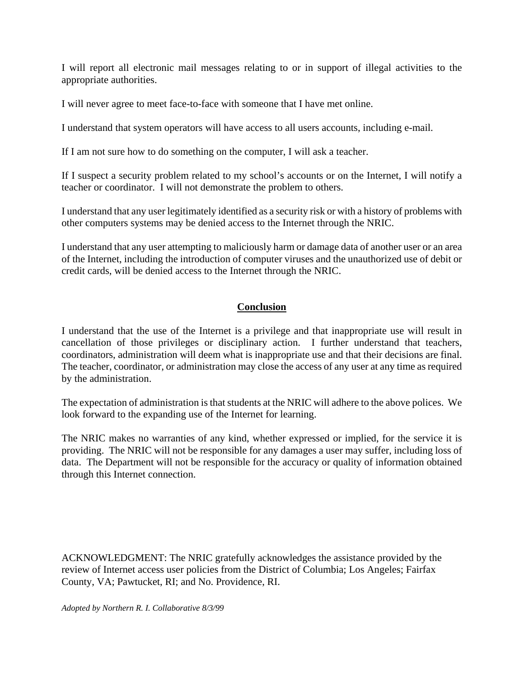I will report all electronic mail messages relating to or in support of illegal activities to the appropriate authorities.

I will never agree to meet face-to-face with someone that I have met online.

I understand that system operators will have access to all users accounts, including e-mail.

If I am not sure how to do something on the computer, I will ask a teacher.

If I suspect a security problem related to my school's accounts or on the Internet, I will notify a teacher or coordinator. I will not demonstrate the problem to others.

I understand that any user legitimately identified as a security risk or with a history of problems with other computers systems may be denied access to the Internet through the NRIC.

I understand that any user attempting to maliciously harm or damage data of another user or an area of the Internet, including the introduction of computer viruses and the unauthorized use of debit or credit cards, will be denied access to the Internet through the NRIC.

## **Conclusion**

I understand that the use of the Internet is a privilege and that inappropriate use will result in cancellation of those privileges or disciplinary action. I further understand that teachers, coordinators, administration will deem what is inappropriate use and that their decisions are final. The teacher, coordinator, or administration may close the access of any user at any time as required by the administration.

The expectation of administration is that students at the NRIC will adhere to the above polices. We look forward to the expanding use of the Internet for learning.

The NRIC makes no warranties of any kind, whether expressed or implied, for the service it is providing. The NRIC will not be responsible for any damages a user may suffer, including loss of data. The Department will not be responsible for the accuracy or quality of information obtained through this Internet connection.

ACKNOWLEDGMENT: The NRIC gratefully acknowledges the assistance provided by the review of Internet access user policies from the District of Columbia; Los Angeles; Fairfax County, VA; Pawtucket, RI; and No. Providence, RI.